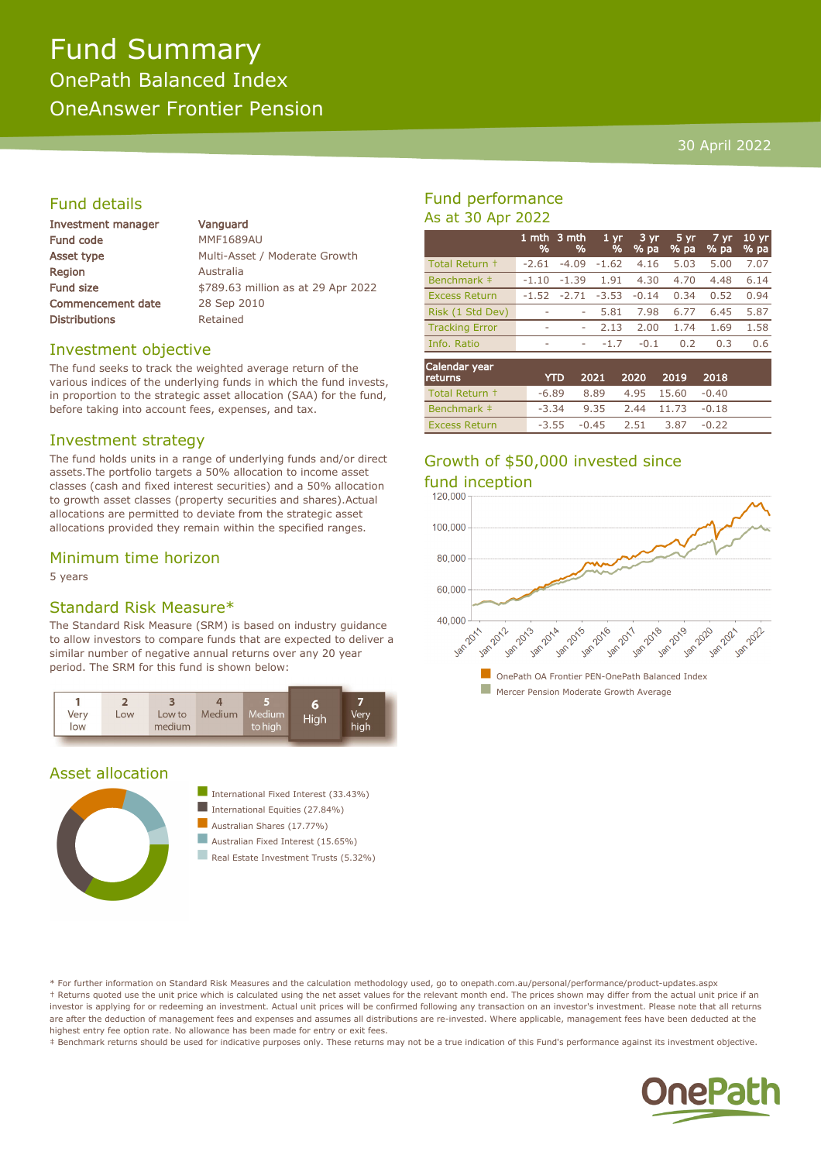# Fund Summary OnePath Balanced Index OneAnswer Frontier Pension

### 30 April 2022

# Fund details

| <b>Investment manager</b> | Vanguard                           |
|---------------------------|------------------------------------|
| Fund code                 | <b>MMF1689AU</b>                   |
| Asset type                | Multi-Asset / Moderate Growth      |
| <b>Region</b>             | Australia                          |
| Fund size                 | \$789.63 million as at 29 Apr 2022 |
| <b>Commencement date</b>  | 28 Sep 2010                        |
| <b>Distributions</b>      | Retained                           |
|                           |                                    |

# Investment objective

The fund seeks to track the weighted average return of the various indices of the underlying funds in which the fund invests, in proportion to the strategic asset allocation (SAA) for the fund, before taking into account fees, expenses, and tax.

# Investment strategy

The fund holds units in a range of underlying funds and/or direct assets.The portfolio targets a 50% allocation to income asset classes (cash and fixed interest securities) and a 50% allocation to growth asset classes (property securities and shares).Actual allocations are permitted to deviate from the strategic asset allocations provided they remain within the specified ranges.

# Minimum time horizon

5 years

# Standard Risk Measure\*

The Standard Risk Measure (SRM) is based on industry guidance to allow investors to compare funds that are expected to deliver a similar number of negative annual returns over any 20 year period. The SRM for this fund is shown below:



#### Asset allocation



- International Fixed Interest  $(33.43\%)$
- International Equities  $(27.84\%)$
- $\blacksquare$  Australian Shares (17.77%)
- Australian Fixed Interest (15.65%)
- **n** Real Estate Investment Trusts (5.32%)

# Fund performance As at 30 Apr 2022

|                       | 1 mth<br>% | ' 3 mth<br>% | 1 <sub>yr</sub><br>% | 3 yr<br>% pa | $5 \,\mathrm{yr}$<br>% pa | 7 yr<br>% pa | 10 <sub>yr</sub><br>% pa |
|-----------------------|------------|--------------|----------------------|--------------|---------------------------|--------------|--------------------------|
| Total Return +        | $-2.61$    | $-4.09$      | $-1.62$              | 4.16         | 5.03                      | 5.00         | 7.07                     |
| Benchmark ‡           | $-1.10$    | $-1.39$      | 1.91                 | 4.30         | 4.70                      | 4.48         | 6.14                     |
| <b>Excess Return</b>  | $-1.52$    | $-2.71$      | $-3.53$              | $-0.14$      | 0.34                      | 0.52         | 0.94                     |
| Risk (1 Std Dev)      | ۰          | ۰            | 5.81                 | 7.98         | 6.77                      | 6.45         | 5.87                     |
| <b>Tracking Error</b> | ۰          | ۰            | 2.13                 | 2.00         | 1.74                      | 1.69         | 1.58                     |
| Info. Ratio           | ۰          | ۰            | $-1.7$               | $-0.1$       | 0.2                       | 0.3          | 0.6                      |
| Calendar year         |            |              |                      |              |                           |              |                          |

| Calendar year<br><b>returns</b> | <b>YTD</b> |                                       | 2021 2020 2019 2018 |         |  |
|---------------------------------|------------|---------------------------------------|---------------------|---------|--|
| Total Return +                  |            | $-6.89$ $8.89$ $4.95$ $15.60$ $-0.40$ |                     |         |  |
| Benchmark #                     |            | $-3.34$ $9.35$ $2.44$ $11.73$ $-0.18$ |                     |         |  |
| <b>Excess Return</b>            |            | $-3.55 -0.45$ 2.51                    | 3.87                | $-0.22$ |  |

# Growth of \$50,000 invested since



\* For further information on Standard Risk Measures and the calculation methodology used, go to onepath.com.au/personal/performance/product-updates.aspx † Returns quoted use the unit price which is calculated using the net asset values for the relevant month end. The prices shown may differ from the actual unit price if an investor is applying for or redeeming an investment. Actual unit prices will be confirmed following any transaction on an investor's investment. Please note that all returns are after the deduction of management fees and expenses and assumes all distributions are re-invested. Where applicable, management fees have been deducted at the highest entry fee option rate. No allowance has been made for entry or exit fees.

‡ Benchmark returns should be used for indicative purposes only. These returns may not be a true indication of this Fund's performance against its investment objective.